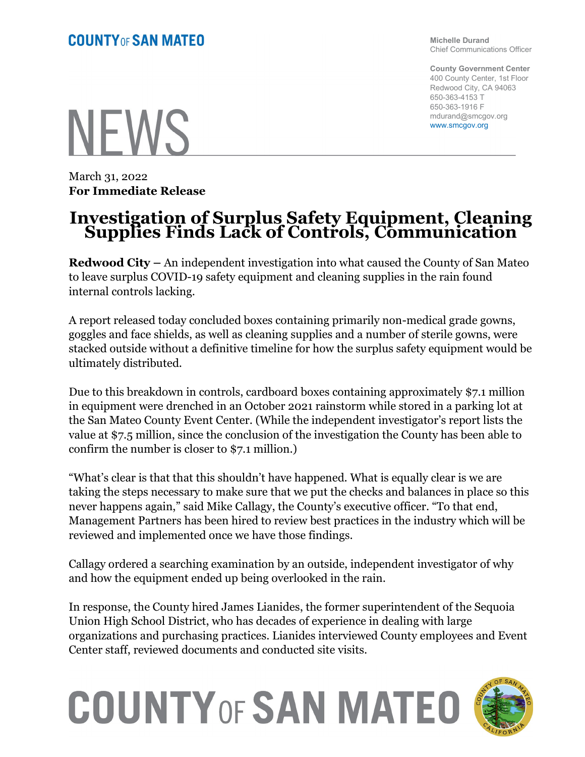**NEWS** 

March 31, 2022 **For Immediate Release**

## **Investigation of Surplus Safety Equipment, Cleaning Supplies Finds Lack of Controls, Communication**

**Redwood City –** An independent investigation into what caused the County of San Mateo to leave surplus COVID-19 safety equipment and cleaning supplies in the rain found internal controls lacking.

A report released today concluded boxes containing primarily non-medical grade gowns, goggles and face shields, as well as cleaning supplies and a number of sterile gowns, were stacked outside without a definitive timeline for how the surplus safety equipment would be ultimately distributed.

Due to this breakdown in controls, cardboard boxes containing approximately \$7.1 million in equipment were drenched in an October 2021 rainstorm while stored in a parking lot at the San Mateo County Event Center. (While the independent investigator's report lists the value at \$7.5 million, since the conclusion of the investigation the County has been able to confirm the number is closer to \$7.1 million.)

"What's clear is that that this shouldn't have happened. What is equally clear is we are taking the steps necessary to make sure that we put the checks and balances in place so this never happens again," said Mike Callagy, the County's executive officer. "To that end, Management Partners has been hired to review best practices in the industry which will be reviewed and implemented once we have those findings.

Callagy ordered a searching examination by an outside, independent investigator of why and how the equipment ended up being overlooked in the rain.

In response, the County hired James Lianides, the former superintendent of the Sequoia Union High School District, who has decades of experience in dealing with large organizations and purchasing practices. Lianides interviewed County employees and Event Center staff, reviewed documents and conducted site visits.

## **COUNTY OF SAN MATEO**



**Michelle Durand** Chief Communications Officer

**County Government Center** 400 County Center, 1st Floor Redwood City, CA 94063 650-363-4153 T 650-363-1916 F mdurand@smcgov.org www.smcgov.org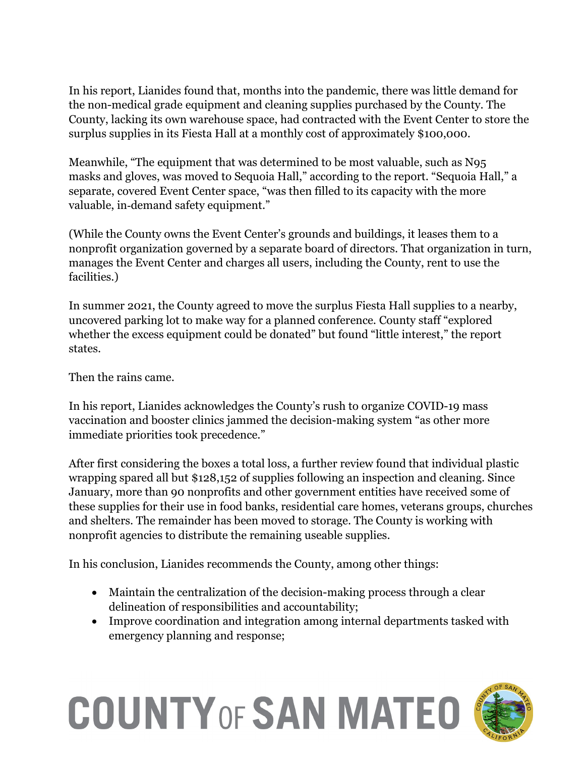In his report, Lianides found that, months into the pandemic, there was little demand for the non-medical grade equipment and cleaning supplies purchased by the County. The County, lacking its own warehouse space, had contracted with the Event Center to store the surplus supplies in its Fiesta Hall at a monthly cost of approximately \$100,000.

Meanwhile, "The equipment that was determined to be most valuable, such as N95 masks and gloves, was moved to Sequoia Hall," according to the report. "Sequoia Hall," a separate, covered Event Center space, "was then filled to its capacity with the more valuable, in‐demand safety equipment."

(While the County owns the Event Center's grounds and buildings, it leases them to a nonprofit organization governed by a separate board of directors. That organization in turn, manages the Event Center and charges all users, including the County, rent to use the facilities.)

In summer 2021, the County agreed to move the surplus Fiesta Hall supplies to a nearby, uncovered parking lot to make way for a planned conference. County staff "explored whether the excess equipment could be donated" but found "little interest," the report states.

Then the rains came.

In his report, Lianides acknowledges the County's rush to organize COVID-19 mass vaccination and booster clinics jammed the decision-making system "as other more immediate priorities took precedence."

After first considering the boxes a total loss, a further review found that individual plastic wrapping spared all but \$128,152 of supplies following an inspection and cleaning. Since January, more than 90 nonprofits and other government entities have received some of these supplies for their use in food banks, residential care homes, veterans groups, churches and shelters. The remainder has been moved to storage. The County is working with nonprofit agencies to distribute the remaining useable supplies.

In his conclusion, Lianides recommends the County, among other things:

- Maintain the centralization of the decision-making process through a clear delineation of responsibilities and accountability;
- Improve coordination and integration among internal departments tasked with emergency planning and response;

## **COUNTY OF SAN MATEO**